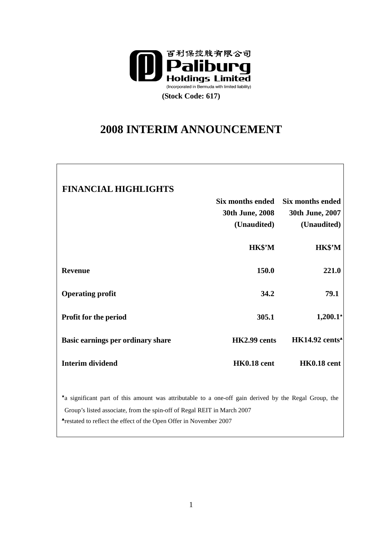

# **2008 INTERIM ANNOUNCEMENT**

| <b>FINANCIAL HIGHLIGHTS</b>                                                                           |                    |                                                   |
|-------------------------------------------------------------------------------------------------------|--------------------|---------------------------------------------------|
|                                                                                                       | Six months ended   | Six months ended                                  |
|                                                                                                       | 30th June, 2008    | 30th June, 2007                                   |
|                                                                                                       | (Unaudited)        | (Unaudited)                                       |
|                                                                                                       | HK\$'M             | <b>HK\$'M</b>                                     |
| <b>Revenue</b>                                                                                        | 150.0              | 221.0                                             |
| <b>Operating profit</b>                                                                               | 34.2               | 79.1                                              |
| <b>Profit for the period</b>                                                                          | 305.1              | $1,200.1*$                                        |
| Basic earnings per ordinary share                                                                     | HK2.99 cents       | $HK14.92$ cents <sup><math>\triangle</math></sup> |
| <b>Interim dividend</b>                                                                               | <b>HK0.18 cent</b> | <b>HK0.18 cent</b>                                |
| *a significant part of this amount was attributable to a one-off gain derived by the Regal Group, the |                    |                                                   |

Group's listed associate, from the spin-off of Regal REIT in March 2007

▲ restated to reflect the effect of the Open Offer in November 2007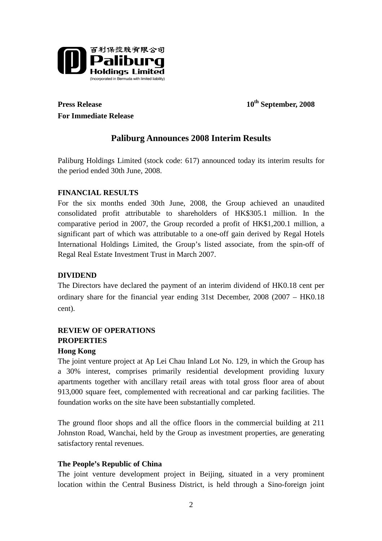

**For Immediate Release** 

**Press Release** 10<sup>th</sup> September, 2008

# **Paliburg Announces 2008 Interim Results**

Paliburg Holdings Limited (stock code: 617) announced today its interim results for the period ended 30th June, 2008.

# **FINANCIAL RESULTS**

For the six months ended 30th June, 2008, the Group achieved an unaudited consolidated profit attributable to shareholders of HK\$305.1 million. In the comparative period in 2007, the Group recorded a profit of HK\$1,200.1 million, a significant part of which was attributable to a one-off gain derived by Regal Hotels International Holdings Limited, the Group's listed associate, from the spin-off of Regal Real Estate Investment Trust in March 2007.

## **DIVIDEND**

The Directors have declared the payment of an interim dividend of HK0.18 cent per ordinary share for the financial year ending 31st December, 2008 (2007 – HK0.18 cent).

# **REVIEW OF OPERATIONS PROPERTIES**

#### **Hong Kong**

The joint venture project at Ap Lei Chau Inland Lot No. 129, in which the Group has a 30% interest, comprises primarily residential development providing luxury apartments together with ancillary retail areas with total gross floor area of about 913,000 square feet, complemented with recreational and car parking facilities. The foundation works on the site have been substantially completed.

The ground floor shops and all the office floors in the commercial building at 211 Johnston Road, Wanchai, held by the Group as investment properties, are generating satisfactory rental revenues.

### **The People's Republic of China**

The joint venture development project in Beijing, situated in a very prominent location within the Central Business District, is held through a Sino-foreign joint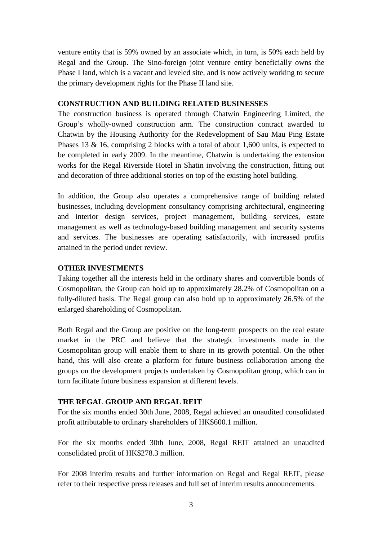venture entity that is 59% owned by an associate which, in turn, is 50% each held by Regal and the Group. The Sino-foreign joint venture entity beneficially owns the Phase I land, which is a vacant and leveled site, and is now actively working to secure the primary development rights for the Phase II land site.

#### **CONSTRUCTION AND BUILDING RELATED BUSINESSES**

The construction business is operated through Chatwin Engineering Limited, the Group's wholly-owned construction arm. The construction contract awarded to Chatwin by the Housing Authority for the Redevelopment of Sau Mau Ping Estate Phases 13 & 16, comprising 2 blocks with a total of about 1,600 units, is expected to be completed in early 2009. In the meantime, Chatwin is undertaking the extension works for the Regal Riverside Hotel in Shatin involving the construction, fitting out and decoration of three additional stories on top of the existing hotel building.

In addition, the Group also operates a comprehensive range of building related businesses, including development consultancy comprising architectural, engineering and interior design services, project management, building services, estate management as well as technology-based building management and security systems and services. The businesses are operating satisfactorily, with increased profits attained in the period under review.

## **OTHER INVESTMENTS**

Taking together all the interests held in the ordinary shares and convertible bonds of Cosmopolitan, the Group can hold up to approximately 28.2% of Cosmopolitan on a fully-diluted basis. The Regal group can also hold up to approximately 26.5% of the enlarged shareholding of Cosmopolitan.

Both Regal and the Group are positive on the long-term prospects on the real estate market in the PRC and believe that the strategic investments made in the Cosmopolitan group will enable them to share in its growth potential. On the other hand, this will also create a platform for future business collaboration among the groups on the development projects undertaken by Cosmopolitan group, which can in turn facilitate future business expansion at different levels.

### **THE REGAL GROUP AND REGAL REIT**

For the six months ended 30th June, 2008, Regal achieved an unaudited consolidated profit attributable to ordinary shareholders of HK\$600.1 million.

For the six months ended 30th June, 2008, Regal REIT attained an unaudited consolidated profit of HK\$278.3 million.

For 2008 interim results and further information on Regal and Regal REIT, please refer to their respective press releases and full set of interim results announcements.